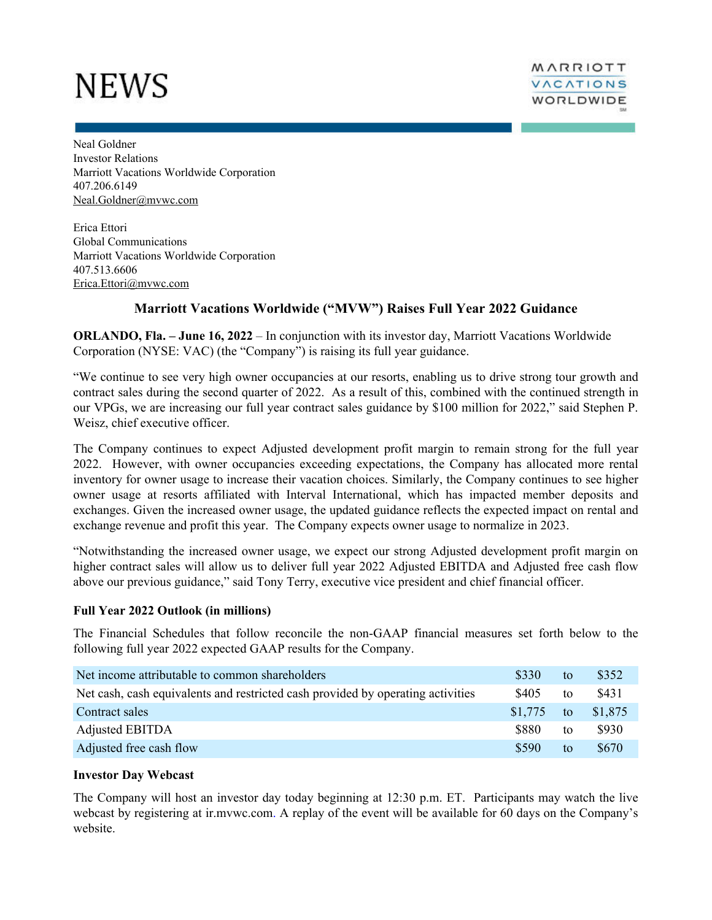# NEWS

Neal Goldner Investor Relations Marriott Vacations Worldwide Corporation 407.206.6149 Neal.Goldner@mvwc.com

Erica Ettori Global Communications Marriott Vacations Worldwide Corporation 407.513.6606 Erica.Ettori@mvwc.com

# **Marriott Vacations Worldwide ("MVW") Raises Full Year 2022 Guidance**

**ORLANDO, Fla. – June 16, 2022** – In conjunction with its investor day, Marriott Vacations Worldwide Corporation (NYSE: VAC) (the "Company") is raising its full year guidance.

"We continue to see very high owner occupancies at our resorts, enabling us to drive strong tour growth and contract sales during the second quarter of 2022. As a result of this, combined with the continued strength in our VPGs, we are increasing our full year contract sales guidance by \$100 million for 2022," said Stephen P. Weisz, chief executive officer.

The Company continues to expect Adjusted development profit margin to remain strong for the full year 2022. However, with owner occupancies exceeding expectations, the Company has allocated more rental inventory for owner usage to increase their vacation choices. Similarly, the Company continues to see higher owner usage at resorts affiliated with Interval International, which has impacted member deposits and exchanges. Given the increased owner usage, the updated guidance reflects the expected impact on rental and exchange revenue and profit this year. The Company expects owner usage to normalize in 2023.

"Notwithstanding the increased owner usage, we expect our strong Adjusted development profit margin on higher contract sales will allow us to deliver full year 2022 Adjusted EBITDA and Adjusted free cash flow above our previous guidance," said Tony Terry, executive vice president and chief financial officer.

## **Full Year 2022 Outlook (in millions)**

The Financial Schedules that follow reconcile the non-GAAP financial measures set forth below to the following full year 2022 expected GAAP results for the Company.

| Net income attributable to common shareholders                                  | \$330   | to | \$352   |
|---------------------------------------------------------------------------------|---------|----|---------|
| Net cash, cash equivalents and restricted cash provided by operating activities | \$405   | to | \$431   |
| Contract sales                                                                  | \$1.775 | to | \$1,875 |
| <b>Adjusted EBITDA</b>                                                          | \$880   | to | \$930   |
| Adjusted free cash flow                                                         | \$590   | to | \$670   |

## **Investor Day Webcast**

The Company will host an investor day today beginning at 12:30 p.m. ET. Participants may watch the live webcast by registering at ir.mvwc.com. A replay of the event will be available for 60 days on the Company's website.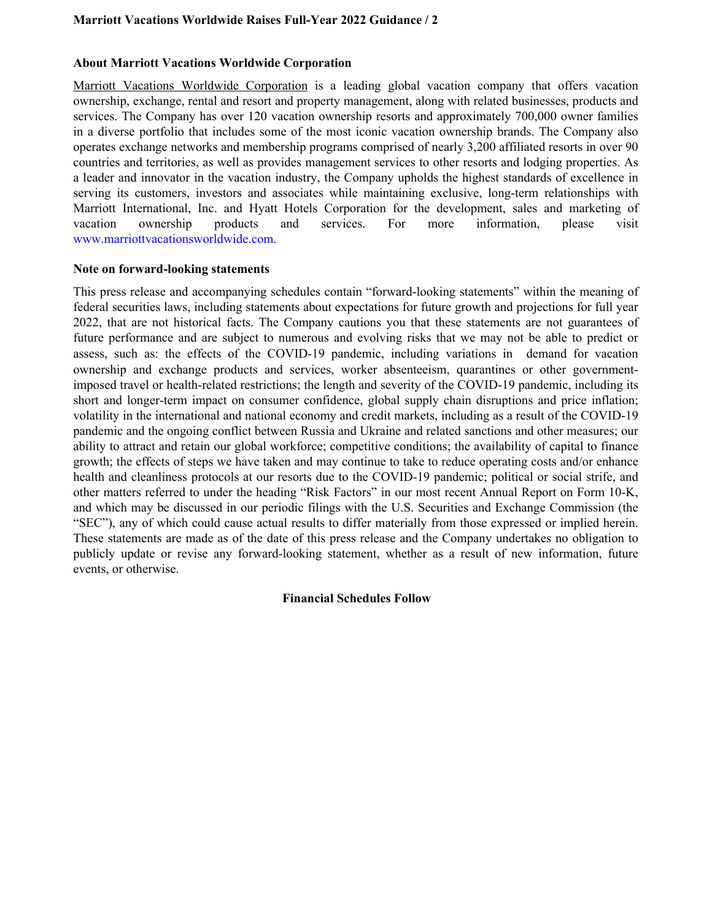## **Marriott Vacations Worldwide Raises Full-Year 2022 Guidance / 2**

## **About Marriott Vacations Worldwide Corporation**

Marriott Vacations Worldwide Corporation is a leading global vacation company that offers vacation ownership, exchange, rental and resort and property management, along with related businesses, products and services. The Company has over 120 vacation ownership resorts and approximately 700,000 owner families in a diverse portfolio that includes some of the most iconic vacation ownership brands. The Company also operates exchange networks and membership programs comprised of nearly 3,200 affiliated resorts in over 90 countries and territories, as well as provides management services to other resorts and lodging properties. As a leader and innovator in the vacation industry, the Company upholds the highest standards of excellence in serving its customers, investors and associates while maintaining exclusive, long-term relationships with Marriott International, Inc. and Hyatt Hotels Corporation for the development, sales and marketing of vacation ownership products and services. For more information, please visit www.marriottvacationsworldwide.com.

### **Note on forward-looking statements**

This press release and accompanying schedules contain "forward-looking statements" within the meaning of federal securities laws, including statements about expectations for future growth and projections for full year 2022, that are not historical facts. The Company cautions you that these statements are not guarantees of future performance and are subject to numerous and evolving risks that we may not be able to predict or assess, such as: the effects of the COVID-19 pandemic, including variations in demand for vacation ownership and exchange products and services, worker absenteeism, quarantines or other governmentimposed travel or health-related restrictions; the length and severity of the COVID-19 pandemic, including its short and longer-term impact on consumer confidence, global supply chain disruptions and price inflation; volatility in the international and national economy and credit markets, including as a result of the COVID-19 pandemic and the ongoing conflict between Russia and Ukraine and related sanctions and other measures; our ability to attract and retain our global workforce; competitive conditions; the availability of capital to finance growth; the effects of steps we have taken and may continue to take to reduce operating costs and/or enhance health and cleanliness protocols at our resorts due to the COVID-19 pandemic; political or social strife, and other matters referred to under the heading "Risk Factors" in our most recent Annual Report on Form 10-K, and which may be discussed in our periodic filings with the U.S. Securities and Exchange Commission (the "SEC"), any of which could cause actual results to differ materially from those expressed or implied herein. These statements are made as of the date of this press release and the Company undertakes no obligation to publicly update or revise any forward-looking statement, whether as a result of new information, future events, or otherwise.

#### **Financial Schedules Follow**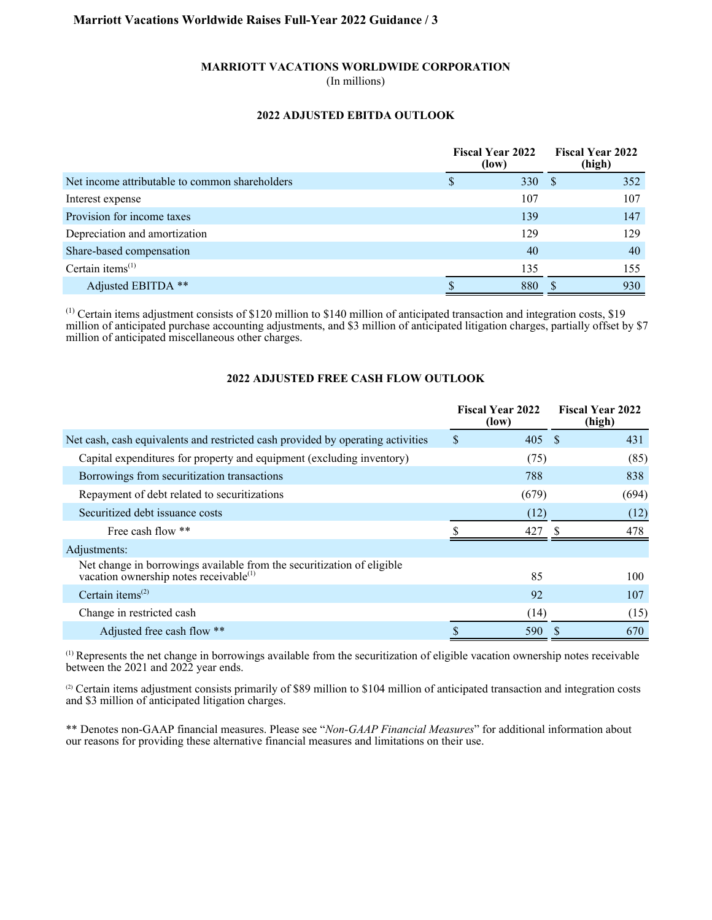## **Marriott Vacations Worldwide Raises Full-Year 2022 Guidance / 3**

#### **MARRIOTT VACATIONS WORLDWIDE CORPORATION**

(In millions)

#### **2022 ADJUSTED EBITDA OUTLOOK**

|                                                | <b>Fiscal Year 2022</b><br>(low) |  | <b>Fiscal Year 2022</b><br>(high) |  |
|------------------------------------------------|----------------------------------|--|-----------------------------------|--|
| Net income attributable to common shareholders | 330 $\frac{1}{2}$                |  | 352                               |  |
| Interest expense                               | 107                              |  | 107                               |  |
| Provision for income taxes                     | 139                              |  | 147                               |  |
| Depreciation and amortization                  | 129                              |  | 129                               |  |
| Share-based compensation                       | 40                               |  | 40                                |  |
| Certain items $(1)$                            | 135                              |  | 155                               |  |
| Adjusted EBITDA **                             | 880                              |  | 930                               |  |

(1) Certain items adjustment consists of \$120 million to \$140 million of anticipated transaction and integration costs, \$19 million of anticipated purchase accounting adjustments, and \$3 million of anticipated litigation charges, partially offset by \$7 million of anticipated miscellaneous other charges.

## **2022 ADJUSTED FREE CASH FLOW OUTLOOK**

|                                                                                                                              | <b>Fiscal Year 2022</b><br>(low) |       | <b>Fiscal Year 2022</b><br>(high) |       |
|------------------------------------------------------------------------------------------------------------------------------|----------------------------------|-------|-----------------------------------|-------|
| Net cash, cash equivalents and restricted cash provided by operating activities                                              | \$                               | 405   | - \$                              | 431   |
| Capital expenditures for property and equipment (excluding inventory)                                                        |                                  | (75)  |                                   | (85)  |
| Borrowings from securitization transactions                                                                                  |                                  | 788   |                                   | 838   |
| Repayment of debt related to securitizations                                                                                 |                                  | (679) |                                   | (694) |
| Securitized debt issuance costs                                                                                              |                                  | (12)  |                                   | (12)  |
| Free cash flow **                                                                                                            |                                  | 427   |                                   | 478   |
| Adjustments:                                                                                                                 |                                  |       |                                   |       |
| Net change in borrowings available from the securitization of eligible<br>vacation ownership notes receivable <sup>(1)</sup> |                                  | 85    |                                   | 100   |
| Certain items <sup><math>(2)</math></sup>                                                                                    |                                  | 92    |                                   | 107   |
| Change in restricted cash                                                                                                    |                                  | (14)  |                                   | (15)  |
| Adjusted free cash flow **                                                                                                   |                                  | 590   |                                   | 670   |

 $<sup>(1)</sup>$  Represents the net change in borrowings available from the securitization of eligible vacation ownership notes receivable</sup> between the 2021 and 2022 year ends.

(2) Certain items adjustment consists primarily of \$89 million to \$104 million of anticipated transaction and integration costs and \$3 million of anticipated litigation charges.

\*\* Denotes non-GAAP financial measures. Please see "*Non-GAAP Financial Measures*" for additional information about our reasons for providing these alternative financial measures and limitations on their use.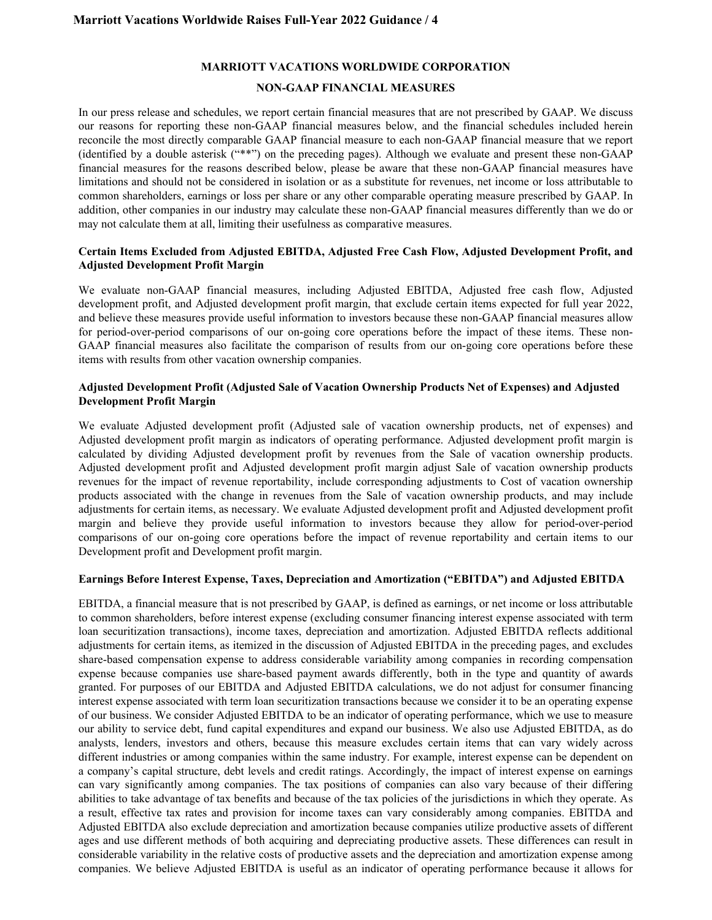#### **MARRIOTT VACATIONS WORLDWIDE CORPORATION**

#### **NON-GAAP FINANCIAL MEASURES**

In our press release and schedules, we report certain financial measures that are not prescribed by GAAP. We discuss our reasons for reporting these non-GAAP financial measures below, and the financial schedules included herein reconcile the most directly comparable GAAP financial measure to each non-GAAP financial measure that we report (identified by a double asterisk ("\*\*") on the preceding pages). Although we evaluate and present these non-GAAP financial measures for the reasons described below, please be aware that these non-GAAP financial measures have limitations and should not be considered in isolation or as a substitute for revenues, net income or loss attributable to common shareholders, earnings or loss per share or any other comparable operating measure prescribed by GAAP. In addition, other companies in our industry may calculate these non-GAAP financial measures differently than we do or may not calculate them at all, limiting their usefulness as comparative measures.

#### **Certain Items Excluded from Adjusted EBITDA, Adjusted Free Cash Flow, Adjusted Development Profit, and Adjusted Development Profit Margin**

We evaluate non-GAAP financial measures, including Adjusted EBITDA, Adjusted free cash flow, Adjusted development profit, and Adjusted development profit margin, that exclude certain items expected for full year 2022, and believe these measures provide useful information to investors because these non-GAAP financial measures allow for period-over-period comparisons of our on-going core operations before the impact of these items. These non-GAAP financial measures also facilitate the comparison of results from our on-going core operations before these items with results from other vacation ownership companies.

#### **Adjusted Development Profit (Adjusted Sale of Vacation Ownership Products Net of Expenses) and Adjusted Development Profit Margin**

We evaluate Adjusted development profit (Adjusted sale of vacation ownership products, net of expenses) and Adjusted development profit margin as indicators of operating performance. Adjusted development profit margin is calculated by dividing Adjusted development profit by revenues from the Sale of vacation ownership products. Adjusted development profit and Adjusted development profit margin adjust Sale of vacation ownership products revenues for the impact of revenue reportability, include corresponding adjustments to Cost of vacation ownership products associated with the change in revenues from the Sale of vacation ownership products, and may include adjustments for certain items, as necessary. We evaluate Adjusted development profit and Adjusted development profit margin and believe they provide useful information to investors because they allow for period-over-period comparisons of our on-going core operations before the impact of revenue reportability and certain items to our Development profit and Development profit margin.

#### **Earnings Before Interest Expense, Taxes, Depreciation and Amortization ("EBITDA") and Adjusted EBITDA**

EBITDA, a financial measure that is not prescribed by GAAP, is defined as earnings, or net income or loss attributable to common shareholders, before interest expense (excluding consumer financing interest expense associated with term loan securitization transactions), income taxes, depreciation and amortization. Adjusted EBITDA reflects additional adjustments for certain items, as itemized in the discussion of Adjusted EBITDA in the preceding pages, and excludes share-based compensation expense to address considerable variability among companies in recording compensation expense because companies use share-based payment awards differently, both in the type and quantity of awards granted. For purposes of our EBITDA and Adjusted EBITDA calculations, we do not adjust for consumer financing interest expense associated with term loan securitization transactions because we consider it to be an operating expense of our business. We consider Adjusted EBITDA to be an indicator of operating performance, which we use to measure our ability to service debt, fund capital expenditures and expand our business. We also use Adjusted EBITDA, as do analysts, lenders, investors and others, because this measure excludes certain items that can vary widely across different industries or among companies within the same industry. For example, interest expense can be dependent on a company's capital structure, debt levels and credit ratings. Accordingly, the impact of interest expense on earnings can vary significantly among companies. The tax positions of companies can also vary because of their differing abilities to take advantage of tax benefits and because of the tax policies of the jurisdictions in which they operate. As a result, effective tax rates and provision for income taxes can vary considerably among companies. EBITDA and Adjusted EBITDA also exclude depreciation and amortization because companies utilize productive assets of different ages and use different methods of both acquiring and depreciating productive assets. These differences can result in considerable variability in the relative costs of productive assets and the depreciation and amortization expense among companies. We believe Adjusted EBITDA is useful as an indicator of operating performance because it allows for